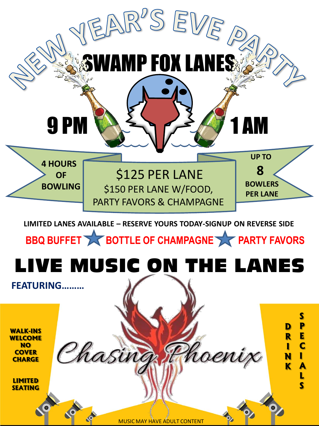

MUSIC MAY HAVE ADULT CONTENT